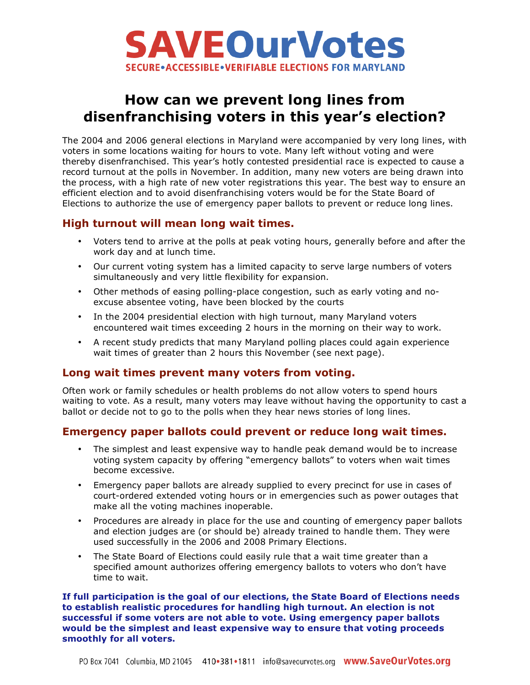

# **How can we prevent long lines from disenfranchising voters in this year's election?**

The 2004 and 2006 general elections in Maryland were accompanied by very long lines, with voters in some locations waiting for hours to vote. Many left without voting and were thereby disenfranchised. This year's hotly contested presidential race is expected to cause a record turnout at the polls in November. In addition, many new voters are being drawn into the process, with a high rate of new voter registrations this year. The best way to ensure an efficient election and to avoid disenfranchising voters would be for the State Board of Elections to authorize the use of emergency paper ballots to prevent or reduce long lines.

### **High turnout will mean long wait times.**

- Voters tend to arrive at the polls at peak voting hours, generally before and after the work day and at lunch time.
- Our current voting system has a limited capacity to serve large numbers of voters simultaneously and very little flexibility for expansion.
- Other methods of easing polling-place congestion, such as early voting and noexcuse absentee voting, have been blocked by the courts
- In the 2004 presidential election with high turnout, many Maryland voters encountered wait times exceeding 2 hours in the morning on their way to work.
- A recent study predicts that many Maryland polling places could again experience wait times of greater than 2 hours this November (see next page).

### **Long wait times prevent many voters from voting.**

Often work or family schedules or health problems do not allow voters to spend hours waiting to vote. As a result, many voters may leave without having the opportunity to cast a ballot or decide not to go to the polls when they hear news stories of long lines.

### **Emergency paper ballots could prevent or reduce long wait times.**

- The simplest and least expensive way to handle peak demand would be to increase voting system capacity by offering "emergency ballots" to voters when wait times become excessive.
- Emergency paper ballots are already supplied to every precinct for use in cases of court-ordered extended voting hours or in emergencies such as power outages that make all the voting machines inoperable.
- Procedures are already in place for the use and counting of emergency paper ballots and election judges are (or should be) already trained to handle them. They were used successfully in the 2006 and 2008 Primary Elections.
- The State Board of Elections could easily rule that a wait time greater than a specified amount authorizes offering emergency ballots to voters who don't have time to wait.

**If full participation is the goal of our elections, the State Board of Elections needs to establish realistic procedures for handling high turnout. An election is not successful if some voters are not able to vote. Using emergency paper ballots would be the simplest and least expensive way to ensure that voting proceeds smoothly for all voters.**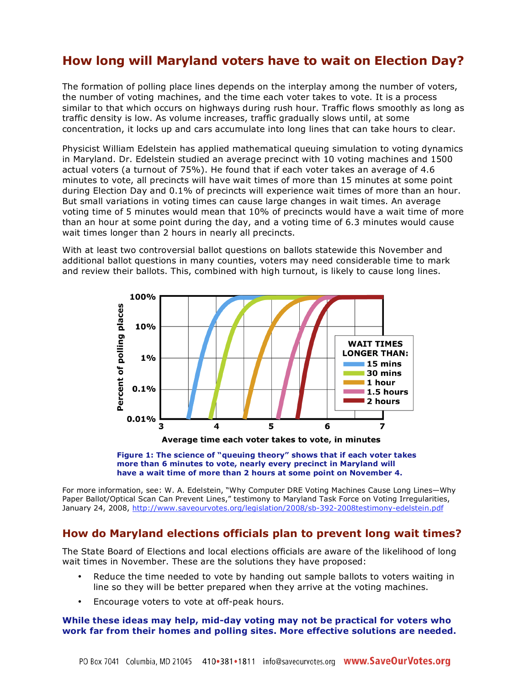## **How long will Maryland voters have to wait on Election Day?**

The formation of polling place lines depends on the interplay among the number of voters, the number of voting machines, and the time each voter takes to vote. It is a process similar to that which occurs on highways during rush hour. Traffic flows smoothly as long as traffic density is low. As volume increases, traffic gradually slows until, at some concentration, it locks up and cars accumulate into long lines that can take hours to clear.

Physicist William Edelstein has applied mathematical queuing simulation to voting dynamics in Maryland. Dr. Edelstein studied an average precinct with 10 voting machines and 1500 actual voters (a turnout of 75%). He found that if each voter takes an average of 4.6 minutes to vote, all precincts will have wait times of more than 15 minutes at some point during Election Day and 0.1% of precincts will experience wait times of more than an hour. But small variations in voting times can cause large changes in wait times. An average voting time of 5 minutes would mean that 10% of precincts would have a wait time of more than an hour at some point during the day, and a voting time of 6.3 minutes would cause wait times longer than 2 hours in nearly all precincts.

With at least two controversial ballot questions on ballots statewide this November and additional ballot questions in many counties, voters may need considerable time to mark and review their ballots. This, combined with high turnout, is likely to cause long lines.







For more information, see: W. A. Edelstein, "Why Computer DRE Voting Machines Cause Long Lines—Why Paper Ballot/Optical Scan Can Prevent Lines," testimony to Maryland Task Force on Voting Irregularities, January 24, 2008, http://www.saveourvotes.org/legislation/2008/sb-392-2008testimony-edelstein.pdf

### **How do Maryland elections officials plan to prevent long wait times?**

The State Board of Elections and local elections officials are aware of the likelihood of long wait times in November. These are the solutions they have proposed:

- Reduce the time needed to vote by handing out sample ballots to voters waiting in line so they will be better prepared when they arrive at the voting machines.
- Encourage voters to vote at off-peak hours.

#### **While these ideas may help, mid-day voting may not be practical for voters who work far from their homes and polling sites. More effective solutions are needed.**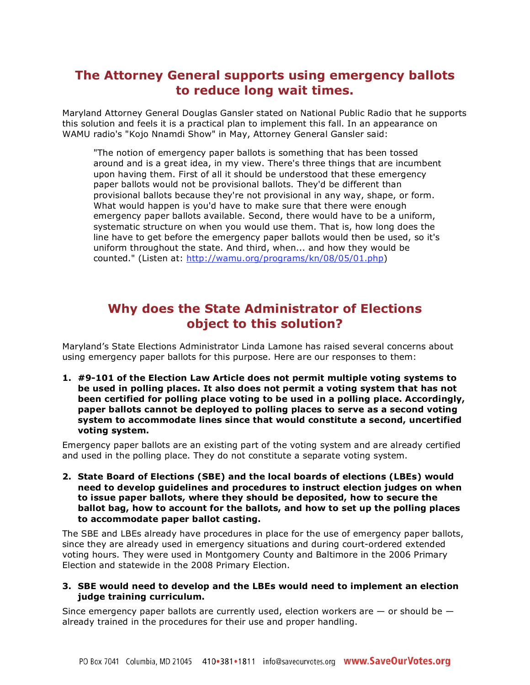## **The Attorney General supports using emergency ballots to reduce long wait times.**

Maryland Attorney General Douglas Gansler stated on National Public Radio that he supports this solution and feels it is a practical plan to implement this fall. In an appearance on WAMU radio's "Kojo Nnamdi Show" in May, Attorney General Gansler said:

"The notion of emergency paper ballots is something that has been tossed around and is a great idea, in my view. There's three things that are incumbent upon having them. First of all it should be understood that these emergency paper ballots would not be provisional ballots. They'd be different than provisional ballots because they're not provisional in any way, shape, or form. What would happen is you'd have to make sure that there were enough emergency paper ballots available. Second, there would have to be a uniform, systematic structure on when you would use them. That is, how long does the line have to get before the emergency paper ballots would then be used, so it's uniform throughout the state. And third, when... and how they would be counted." (Listen at: http://wamu.org/programs/kn/08/05/01.php)

## **Why does the State Administrator of Elections object to this solution?**

Maryland's State Elections Administrator Linda Lamone has raised several concerns about using emergency paper ballots for this purpose. Here are our responses to them:

**1. #9-101 of the Election Law Article does not permit multiple voting systems to be used in polling places. It also does not permit a voting system that has not been certified for polling place voting to be used in a polling place. Accordingly, paper ballots cannot be deployed to polling places to serve as a second voting system to accommodate lines since that would constitute a second, uncertified voting system.** 

Emergency paper ballots are an existing part of the voting system and are already certified and used in the polling place. They do not constitute a separate voting system.

**2. State Board of Elections (SBE) and the local boards of elections (LBEs) would need to develop guidelines and procedures to instruct election judges on when to issue paper ballots, where they should be deposited, how to secure the ballot bag, how to account for the ballots, and how to set up the polling places to accommodate paper ballot casting.** 

The SBE and LBEs already have procedures in place for the use of emergency paper ballots, since they are already used in emergency situations and during court-ordered extended voting hours. They were used in Montgomery County and Baltimore in the 2006 Primary Election and statewide in the 2008 Primary Election.

#### **3. SBE would need to develop and the LBEs would need to implement an election judge training curriculum.**

Since emergency paper ballots are currently used, election workers are  $-$  or should be  $$ already trained in the procedures for their use and proper handling.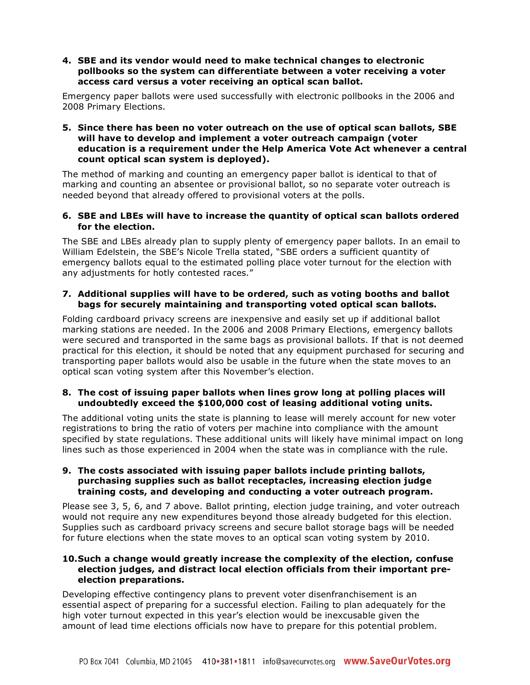#### **4. SBE and its vendor would need to make technical changes to electronic pollbooks so the system can differentiate between a voter receiving a voter access card versus a voter receiving an optical scan ballot.**

Emergency paper ballots were used successfully with electronic pollbooks in the 2006 and 2008 Primary Elections.

#### **5. Since there has been no voter outreach on the use of optical scan ballots, SBE will have to develop and implement a voter outreach campaign (voter education is a requirement under the Help America Vote Act whenever a central count optical scan system is deployed).**

The method of marking and counting an emergency paper ballot is identical to that of marking and counting an absentee or provisional ballot, so no separate voter outreach is needed beyond that already offered to provisional voters at the polls.

#### **6. SBE and LBEs will have to increase the quantity of optical scan ballots ordered for the election.**

The SBE and LBEs already plan to supply plenty of emergency paper ballots. In an email to William Edelstein, the SBE's Nicole Trella stated, "SBE orders a sufficient quantity of emergency ballots equal to the estimated polling place voter turnout for the election with any adjustments for hotly contested races."

#### **7. Additional supplies will have to be ordered, such as voting booths and ballot bags for securely maintaining and transporting voted optical scan ballots.**

Folding cardboard privacy screens are inexpensive and easily set up if additional ballot marking stations are needed. In the 2006 and 2008 Primary Elections, emergency ballots were secured and transported in the same bags as provisional ballots. If that is not deemed practical for this election, it should be noted that any equipment purchased for securing and transporting paper ballots would also be usable in the future when the state moves to an optical scan voting system after this November's election.

### **8. The cost of issuing paper ballots when lines grow long at polling places will undoubtedly exceed the \$100,000 cost of leasing additional voting units.**

The additional voting units the state is planning to lease will merely account for new voter registrations to bring the ratio of voters per machine into compliance with the amount specified by state regulations. These additional units will likely have minimal impact on long lines such as those experienced in 2004 when the state was in compliance with the rule.

#### **9. The costs associated with issuing paper ballots include printing ballots, purchasing supplies such as ballot receptacles, increasing election judge training costs, and developing and conducting a voter outreach program.**

Please see 3, 5, 6, and 7 above. Ballot printing, election judge training, and voter outreach would not require any new expenditures beyond those already budgeted for this election. Supplies such as cardboard privacy screens and secure ballot storage bags will be needed for future elections when the state moves to an optical scan voting system by 2010.

#### **10.Such a change would greatly increase the complexity of the election, confuse election judges, and distract local election officials from their important preelection preparations.**

Developing effective contingency plans to prevent voter disenfranchisement is an essential aspect of preparing for a successful election. Failing to plan adequately for the high voter turnout expected in this year's election would be inexcusable given the amount of lead time elections officials now have to prepare for this potential problem.